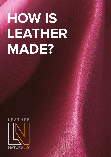# **HOW IS LEATHER MADE?**

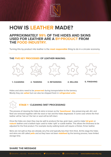

# **HOW IS LEATHER MADE?**

## **APPROXIMATELY 99% OF THE HIDES AND SKINS USED FOR LEATHER ARE A BY-PRODUCT FROM THE FOOD INDUSTRY.**

Turning this by-product into leather is the **most responsible** thing to do in a circular economy.

#### **THE FIVE KEY PROCESSES OF LEATHER-MAKING:**



Hides and skins need to be **preserved** during transportation to the tannery. Mostly they are **salted** but can also be shipped fresh in **refrigerated units.**



The process of cleaning the hides & skins is known as the **'beamhouse'.** Any preserving salt, dirt, and flesh are removed together with the wool or hair and the hides degreased. In some case where the final leather will be 'hair-on' the hair or wool will be left intact.

Once the hides are clean they may be split to produce the top, grain layer, used to make **full grain** or **nubuck** leathers and a bottom layer used to make 'split' or suede leather. This allows the thickness to be adjusted for the final product. For example sturdy walking boots will require a thicker, firmer leather.

Skins are not split as they are already very fine and typically less than 1mm thick. At this stage the hides and skins are still called **pelts** and as they have not been **stabilised** by the tanning process, have limited storage time.

#### **SHARE THE MESSAGE**